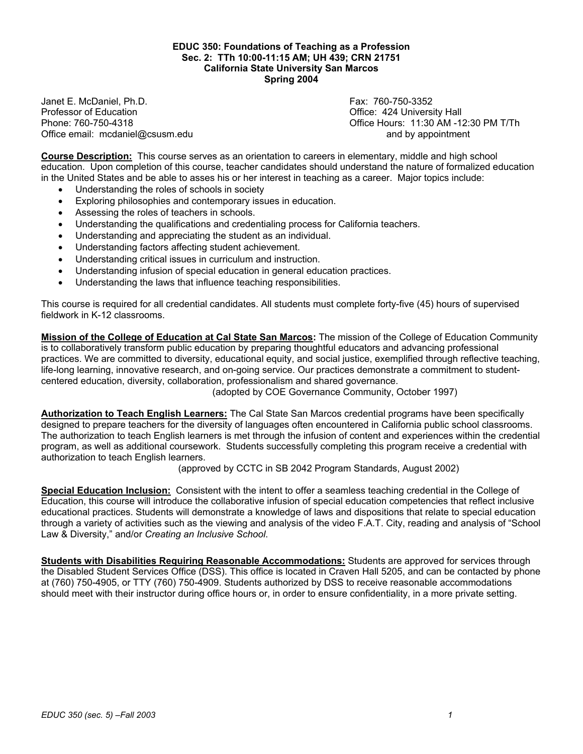#### **EDUC 350: Foundations of Teaching as a Profession Sec. 2: TTh 10:00-11:15 AM; UH 439; CRN 21751 California State University San Marcos Spring 2004**

Janet E. McDaniel, Ph.D. Fax: 760-750-3352 Office email: mcdaniel@csusm.edu and by appointment

Office: 424 University Hall Phone: 760-750-4318 Office Hours: 11:30 AM -12:30 PM T/Th

**Course Description:** This course serves as an orientation to careers in elementary, middle and high school education. Upon completion of this course, teacher candidates should understand the nature of formalized education in the United States and be able to asses his or her interest in teaching as a career. Major topics include:

- Understanding the roles of schools in society
- Exploring philosophies and contemporary issues in education.
- Assessing the roles of teachers in schools.
- Understanding the qualifications and credentialing process for California teachers.
- Understanding and appreciating the student as an individual.
- Understanding factors affecting student achievement.
- Understanding critical issues in curriculum and instruction.
- Understanding infusion of special education in general education practices.
- Understanding the laws that influence teaching responsibilities.

This course is required for all credential candidates. All students must complete forty-five (45) hours of supervised fieldwork in K-12 classrooms.

**Mission of the College of Education at Cal State San Marcos:** The mission of the College of Education Community is to collaboratively transform public education by preparing thoughtful educators and advancing professional practices. We are committed to diversity, educational equity, and social justice, exemplified through reflective teaching, life-long learning, innovative research, and on-going service. Our practices demonstrate a commitment to studentcentered education, diversity, collaboration, professionalism and shared governance.

(adopted by COE Governance Community, October 1997)

**Authorization to Teach English Learners:** The Cal State San Marcos credential programs have been specifically designed to prepare teachers for the diversity of languages often encountered in California public school classrooms. The authorization to teach English learners is met through the infusion of content and experiences within the credential program, as well as additional coursework. Students successfully completing this program receive a credential with authorization to teach English learners.

(approved by CCTC in SB 2042 Program Standards, August 2002)

**Special Education Inclusion:** Consistent with the intent to offer a seamless teaching credential in the College of Education, this course will introduce the collaborative infusion of special education competencies that reflect inclusive educational practices. Students will demonstrate a knowledge of laws and dispositions that relate to special education through a variety of activities such as the viewing and analysis of the video F.A.T. City, reading and analysis of "School Law & Diversity," and/or *Creating an Inclusive School*.

**Students with Disabilities Requiring Reasonable Accommodations:** Students are approved for services through the Disabled Student Services Office (DSS). This office is located in Craven Hall 5205, and can be contacted by phone at (760) 750-4905, or TTY (760) 750-4909. Students authorized by DSS to receive reasonable accommodations should meet with their instructor during office hours or, in order to ensure confidentiality, in a more private setting.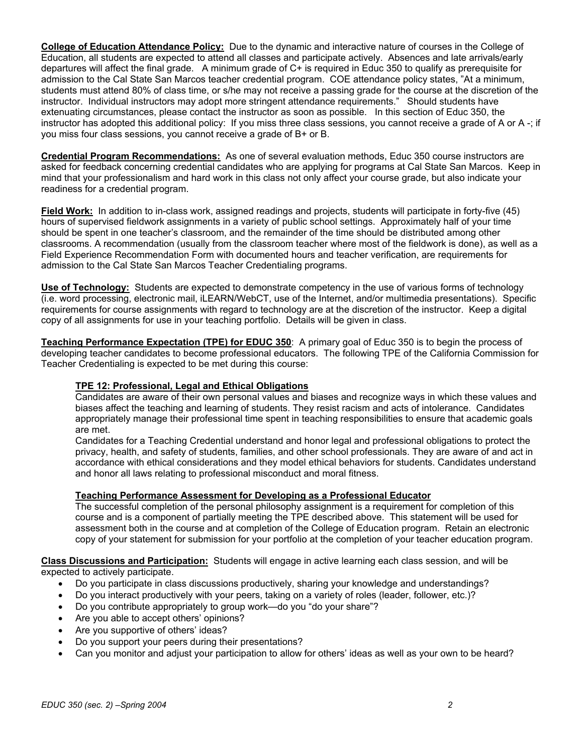**College of Education Attendance Policy:** Due to the dynamic and interactive nature of courses in the College of Education, all students are expected to attend all classes and participate actively. Absences and late arrivals/early departures will affect the final grade. A minimum grade of C+ is required in Educ 350 to qualify as prerequisite for admission to the Cal State San Marcos teacher credential program. COE attendance policy states, "At a minimum, students must attend 80% of class time, or s/he may not receive a passing grade for the course at the discretion of the instructor. Individual instructors may adopt more stringent attendance requirements." Should students have extenuating circumstances, please contact the instructor as soon as possible. In this section of Educ 350, the instructor has adopted this additional policy: If you miss three class sessions, you cannot receive a grade of A or A -; if you miss four class sessions, you cannot receive a grade of B+ or B.

**Credential Program Recommendations:** As one of several evaluation methods, Educ 350 course instructors are asked for feedback concerning credential candidates who are applying for programs at Cal State San Marcos. Keep in mind that your professionalism and hard work in this class not only affect your course grade, but also indicate your readiness for a credential program.

**Field Work:** In addition to in-class work, assigned readings and projects, students will participate in forty-five (45) hours of supervised fieldwork assignments in a variety of public school settings. Approximately half of your time should be spent in one teacher's classroom, and the remainder of the time should be distributed among other classrooms. A recommendation (usually from the classroom teacher where most of the fieldwork is done), as well as a Field Experience Recommendation Form with documented hours and teacher verification, are requirements for admission to the Cal State San Marcos Teacher Credentialing programs.

**Use of Technology:** Students are expected to demonstrate competency in the use of various forms of technology (i.e. word processing, electronic mail, iLEARN/WebCT, use of the Internet, and/or multimedia presentations). Specific requirements for course assignments with regard to technology are at the discretion of the instructor. Keep a digital copy of all assignments for use in your teaching portfolio. Details will be given in class.

**Teaching Performance Expectation (TPE) for EDUC 350**: A primary goal of Educ 350 is to begin the process of developing teacher candidates to become professional educators. The following TPE of the California Commission for Teacher Credentialing is expected to be met during this course:

## **TPE 12: Professional, Legal and Ethical Obligations**

Candidates are aware of their own personal values and biases and recognize ways in which these values and biases affect the teaching and learning of students. They resist racism and acts of intolerance. Candidates appropriately manage their professional time spent in teaching responsibilities to ensure that academic goals are met.

Candidates for a Teaching Credential understand and honor legal and professional obligations to protect the privacy, health, and safety of students, families, and other school professionals. They are aware of and act in accordance with ethical considerations and they model ethical behaviors for students. Candidates understand and honor all laws relating to professional misconduct and moral fitness.

## **Teaching Performance Assessment for Developing as a Professional Educator**

The successful completion of the personal philosophy assignment is a requirement for completion of this course and is a component of partially meeting the TPE described above. This statement will be used for assessment both in the course and at completion of the College of Education program. Retain an electronic copy of your statement for submission for your portfolio at the completion of your teacher education program.

**Class Discussions and Participation:** Students will engage in active learning each class session, and will be expected to actively participate.

- Do you participate in class discussions productively, sharing your knowledge and understandings?
- Do you interact productively with your peers, taking on a variety of roles (leader, follower, etc.)?
- Do you contribute appropriately to group work—do you "do your share"?
- Are you able to accept others' opinions?
- Are you supportive of others' ideas?
- Do you support your peers during their presentations?
- Can you monitor and adjust your participation to allow for others' ideas as well as your own to be heard?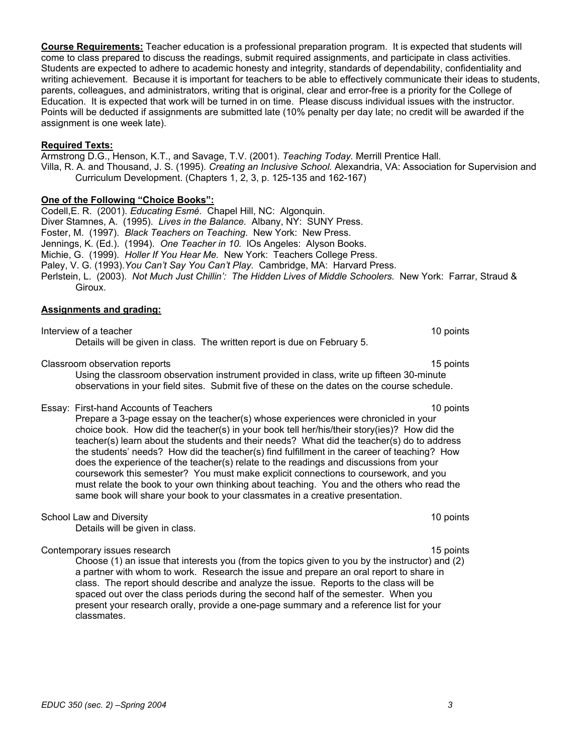**Course Requirements:** Teacher education is a professional preparation program. It is expected that students will come to class prepared to discuss the readings, submit required assignments, and participate in class activities. Students are expected to adhere to academic honesty and integrity, standards of dependability, confidentiality and writing achievement. Because it is important for teachers to be able to effectively communicate their ideas to students, parents, colleagues, and administrators, writing that is original, clear and error-free is a priority for the College of Education. It is expected that work will be turned in on time. Please discuss individual issues with the instructor. Points will be deducted if assignments are submitted late (10% penalty per day late; no credit will be awarded if the assignment is one week late).

#### **Required Texts:**

Armstrong D.G., Henson, K.T., and Savage, T.V. (2001). *Teaching Today.* Merrill Prentice Hall. Villa, R. A. and Thousand, J. S. (1995). *Creating an Inclusive School.* Alexandria, VA: Association for Supervision and Curriculum Development. (Chapters 1, 2, 3, p. 125-135 and 162-167)

#### **One of the Following "Choice Books":**

Codell,E. R. (2001). *Educating Esmé.* Chapel Hill, NC: Algonquin. Diver Stamnes, A. (1995). *Lives in the Balance.* Albany, NY: SUNY Press. Foster, M. (1997). *Black Teachers on Teaching*. New York: New Press. Jennings, K. (Ed.). (1994). *One Teacher in 10.* lOs Angeles: Alyson Books. Michie, G. (1999). *Holler If You Hear Me.* New York: Teachers College Press. Paley, V. G. (1993).*You Can't Say You Can't Play.* Cambridge, MA: Harvard Press. Perlstein, L. (2003). *Not Much Just Chillin': The Hidden Lives of Middle Schoolers.* New York: Farrar, Straud & Giroux.

#### **Assignments and grading:**

Interview of a teacher 10 points and the set of the set of the set of the set of the set of the set of the set of the set of the set of the set of the set of the set of the set of the set of the set of the set of the set o Details will be given in class. The written report is due on February 5.

#### Classroom observation reports 15 points 15 points 15 points 15 points 15 points 15 points 15 points 15 points 15 points 15 points 15 points 15 points 15 points 15 points 15 points 15 points 15 points 15 points 15 points 15

Using the classroom observation instrument provided in class, write up fifteen 30-minute observations in your field sites. Submit five of these on the dates on the course schedule.

#### Essay: First-hand Accounts of Teachers 10 points 10 points 10 points

Prepare a 3-page essay on the teacher(s) whose experiences were chronicled in your choice book. How did the teacher(s) in your book tell her/his/their story(ies)? How did the teacher(s) learn about the students and their needs? What did the teacher(s) do to address the students' needs? How did the teacher(s) find fulfillment in the career of teaching? How does the experience of the teacher(s) relate to the readings and discussions from your coursework this semester? You must make explicit connections to coursework, and you must relate the book to your own thinking about teaching. You and the others who read the same book will share your book to your classmates in a creative presentation.

#### School Law and Diversity 10 points 10 points 10 points 10 points 10 points 10 points 10 points 10 points 10 points 10 points 10 points 10 points 10 points 10 points 10 points 10 points 10 points 10 points 10 points 10 poin

Details will be given in class.

#### Contemporary issues research 15 points and the contemporary issues research 15 points and 15 points of the contemporary issues research 15 points and 15 points of the contemporary issues research 15 points and 15 points of

Choose (1) an issue that interests you (from the topics given to you by the instructor) and (2) a partner with whom to work. Research the issue and prepare an oral report to share in class. The report should describe and analyze the issue. Reports to the class will be spaced out over the class periods during the second half of the semester. When you present your research orally, provide a one-page summary and a reference list for your classmates.